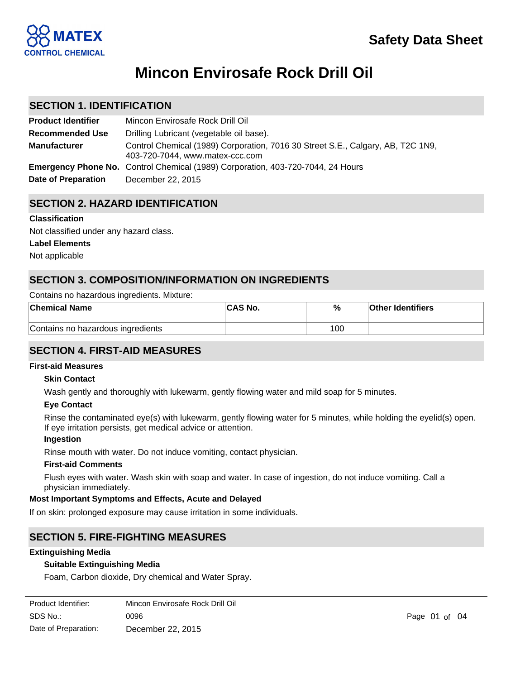

# **Mincon Envirosafe Rock Drill Oil**

## **SECTION 1. IDENTIFICATION**

| <b>Product Identifier</b> | Mincon Envirosafe Rock Drill Oil                                                                                   |
|---------------------------|--------------------------------------------------------------------------------------------------------------------|
| <b>Recommended Use</b>    | Drilling Lubricant (vegetable oil base).                                                                           |
| <b>Manufacturer</b>       | Control Chemical (1989) Corporation, 7016 30 Street S.E., Calgary, AB, T2C 1N9,<br>403-720-7044, www.matex-ccc.com |
|                           | <b>Emergency Phone No.</b> Control Chemical (1989) Corporation, 403-720-7044, 24 Hours                             |
| Date of Preparation       | December 22, 2015                                                                                                  |

# **SECTION 2. HAZARD IDENTIFICATION**

## **Classification**

Not classified under any hazard class.

## **Label Elements**

Not applicable

# **SECTION 3. COMPOSITION/INFORMATION ON INGREDIENTS**

## Contains no hazardous ingredients. Mixture:

| <b>Chemical Name</b>              | <b>CAS No.</b> | %   | <b>Other Identifiers</b> |
|-----------------------------------|----------------|-----|--------------------------|
| Contains no hazardous ingredients |                | 100 |                          |

# **SECTION 4. FIRST-AID MEASURES**

## **First-aid Measures**

## **Skin Contact**

Wash gently and thoroughly with lukewarm, gently flowing water and mild soap for 5 minutes.

## **Eye Contact**

Rinse the contaminated eye(s) with lukewarm, gently flowing water for 5 minutes, while holding the eyelid(s) open. If eye irritation persists, get medical advice or attention.

## **Ingestion**

Rinse mouth with water. Do not induce vomiting, contact physician.

## **First-aid Comments**

Flush eyes with water. Wash skin with soap and water. In case of ingestion, do not induce vomiting. Call a physician immediately.

## **Most Important Symptoms and Effects, Acute and Delayed**

If on skin: prolonged exposure may cause irritation in some individuals.

# **SECTION 5. FIRE-FIGHTING MEASURES**

#### **Extinguishing Media**

## **Suitable Extinguishing Media**

Foam, Carbon dioxide, Dry chemical and Water Spray.

| Product Identifier:  | Mincon Envirosafe Rock Drill Oil |
|----------------------|----------------------------------|
| SDS No.:             | 0096                             |
| Date of Preparation: | December 22, 2015                |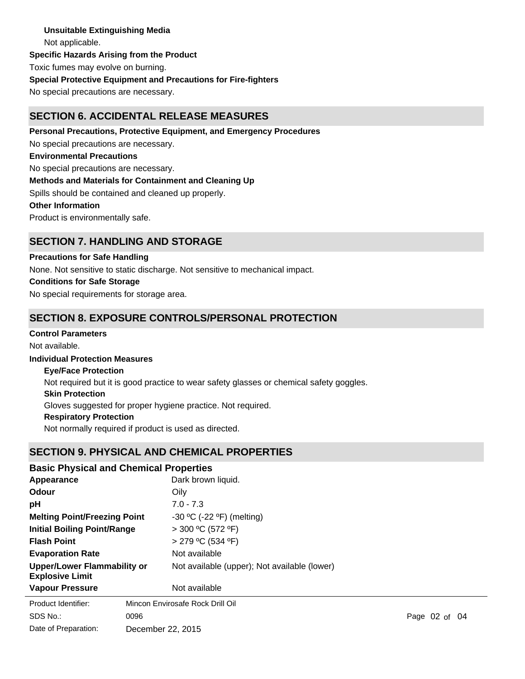**Unsuitable Extinguishing Media** Not applicable. **Specific Hazards Arising from the Product** Toxic fumes may evolve on burning. **Special Protective Equipment and Precautions for Fire-fighters** No special precautions are necessary.

# **SECTION 6. ACCIDENTAL RELEASE MEASURES**

**Personal Precautions, Protective Equipment, and Emergency Procedures** No special precautions are necessary. **Environmental Precautions** No special precautions are necessary. **Methods and Materials for Containment and Cleaning Up** Spills should be contained and cleaned up properly. **Other Information** Product is environmentally safe.

## **SECTION 7. HANDLING AND STORAGE**

**Precautions for Safe Handling**

None. Not sensitive to static discharge. Not sensitive to mechanical impact.

## **Conditions for Safe Storage**

No special requirements for storage area.

## **SECTION 8. EXPOSURE CONTROLS/PERSONAL PROTECTION**

## **Control Parameters**

Not available.

## **Individual Protection Measures**

**Eye/Face Protection**

Not required but it is good practice to wear safety glasses or chemical safety goggles.

#### **Skin Protection**

Gloves suggested for proper hygiene practice. Not required.

## **Respiratory Protection**

Not normally required if product is used as directed.

## **SECTION 9. PHYSICAL AND CHEMICAL PROPERTIES**

| <b>Basic Physical and Chemical Properties</b>         |      |                                              |  |                                |
|-------------------------------------------------------|------|----------------------------------------------|--|--------------------------------|
| Appearance<br>Odour<br>рH                             |      | Dark brown liquid.<br>Oily                   |  |                                |
|                                                       |      |                                              |  |                                |
|                                                       |      | <b>Melting Point/Freezing Point</b>          |  | $-30$ °C ( $-22$ °F) (melting) |
| Initial Boiling Point/Range                           |      | $>$ 300 °C (572 °F)                          |  |                                |
| <b>Flash Point</b>                                    |      | > 279 °C (534 °F)                            |  |                                |
| <b>Evaporation Rate</b>                               |      | Not available                                |  |                                |
| Upper/Lower Flammability or<br><b>Explosive Limit</b> |      | Not available (upper); Not available (lower) |  |                                |
| <b>Vapour Pressure</b>                                |      | Not available                                |  |                                |
| Product Identifier:                                   |      | Mincon Envirosafe Rock Drill Oil             |  |                                |
| SDS No.:                                              | 0096 |                                              |  |                                |

Date of Preparation: December 22, 2015

0096 Page 02 of 04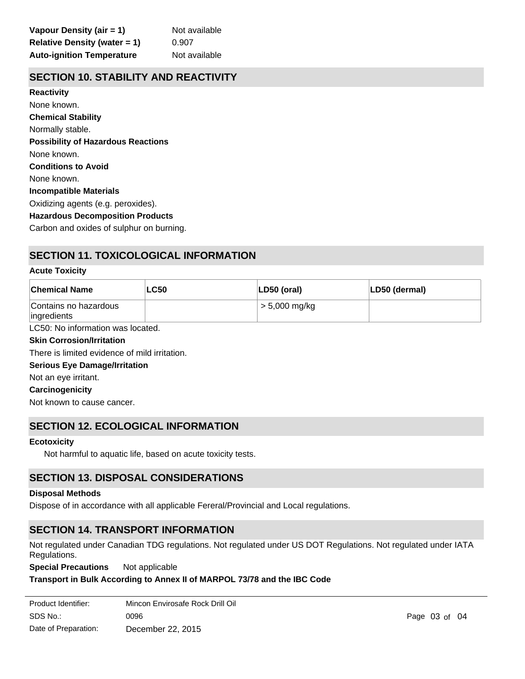## **SECTION 10. STABILITY AND REACTIVITY**

**Chemical Stability** Normally stable. **Conditions to Avoid** None known. **Incompatible Materials** Oxidizing agents (e.g. peroxides). **Hazardous Decomposition Products** Carbon and oxides of sulphur on burning. **Possibility of Hazardous Reactions** None known. **Reactivity** None known.

# **SECTION 11. TOXICOLOGICAL INFORMATION**

#### **Acute Toxicity**

| <b>Chemical Name</b>                 | <b>LC50</b> | LD50 (oral)     | LD50 (dermal) |
|--------------------------------------|-------------|-----------------|---------------|
| Contains no hazardous<br>ingredients |             | $> 5,000$ mg/kg |               |
| LC50: No information was located.    |             |                 |               |

**Skin Corrosion/Irritation**

There is limited evidence of mild irritation.

**Serious Eye Damage/Irritation**

Not an eye irritant.

**Carcinogenicity**

Not known to cause cancer.

## **SECTION 12. ECOLOGICAL INFORMATION**

#### **Ecotoxicity**

Not harmful to aquatic life, based on acute toxicity tests.

# **SECTION 13. DISPOSAL CONSIDERATIONS**

#### **Disposal Methods**

Not applicable

Dispose of in accordance with all applicable Fereral/Provincial and Local regulations.

## **SECTION 14. TRANSPORT INFORMATION**

Not regulated under Canadian TDG regulations. Not regulated under US DOT Regulations. Not regulated under IATA Regulations.

**Special Precautions** Not applicable

#### **Transport in Bulk According to Annex II of MARPOL 73/78 and the IBC Code**

| Product Identifier:  | Mincon Envirosafe Rock Drill Oil |
|----------------------|----------------------------------|
| SDS No.:             | 0096                             |
| Date of Preparation: | December 22, 2015                |